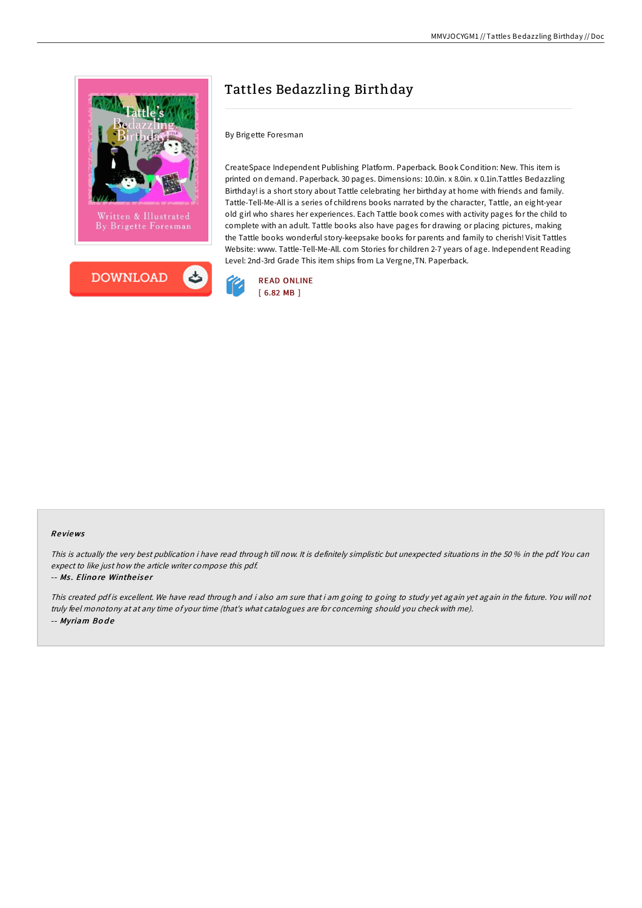



# Tattles Bedazzling Birthday

# By Brigette Foresman

CreateSpace Independent Publishing Platform. Paperback. Book Condition: New. This item is printed on demand. Paperback. 30 pages. Dimensions: 10.0in. x 8.0in. x 0.1in.Tattles Bedazzling Birthday! is a short story about Tattle celebrating her birthday at home with friends and family. Tattle-Tell-Me-All is a series of childrens books narrated by the character, Tattle, an eight-year old girl who shares her experiences. Each Tattle book comes with activity pages for the child to complete with an adult. Tattle books also have pages for drawing or placing pictures, making the Tattle books wonderful story-keepsake books for parents and family to cherish! Visit Tattles Website: www. Tattle-Tell-Me-All. com Stories for children 2-7 years of age. Independent Reading Level: 2nd-3rd Grade This item ships from La Vergne,TN. Paperback.



## Re views

This is actually the very best publication i have read through till now. It is definitely simplistic but unexpected situations in the 50 % in the pdf. You can expect to like just how the article writer compose this pdf.

#### -- Ms. Elinore Wintheiser

This created pdf is excellent. We have read through and i also am sure that i am going to going to study yet again yet again in the future. You will not truly feel monotony at at any time of your time (that's what catalogues are for concerning should you check with me). -- Myriam Bode